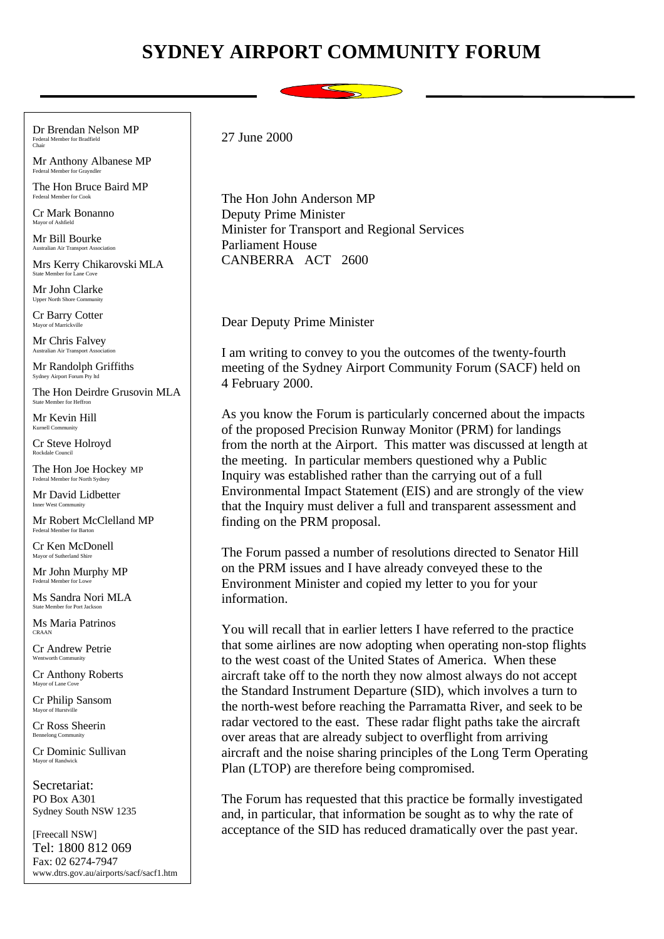## **SYDNEY AIRPORT COMMUNITY FORUM**



Dr Brendan Nelson MP Federal Member for Bradfield Chair

Mr Anthony Albanese MP Federal Member for G

The Hon Bruce Baird MP Federal Member for Cook

Cr Mark Bonanno Mayor of Ashfield

Mr Bill Bourke Australian Air Transport Association

Mrs Kerry Chikarovski MLA State Member for La

Mr John Clarke Upper North Shore Co.

Cr Barry Cotter Mayor of Marrickville

Mr Chris Falvey Australian Air Transport Association

Mr Randolph Griffiths Sydney Airport Forum Pty ltd

The Hon Deirdre Grusovin MLA State Member for Heffr

Mr Kevin Hill  $K$ urnell  $Con$ 

Cr Steve Holroyd Rockdale Council

The Hon Joe Hockey MP Federal Member for North Sydney

Mr David Lidbetter Inner West Community

Mr Robert McClelland MP Federal Member for Barton

Cr Ken McDonell Mayor of Sutherland Shire

Mr John Murphy MP Federal Member for Lo

Ms Sandra Nori MLA State Member for Port Jackson

Ms Maria Patrinos CRAAN

Cr Andrew Petrie Wentworth Community

Cr Anthony Roberts Mayor of Lane Cove

Cr Philip Sansom Mayor of Hurst

Cr Ross Sheerin Bennelong Comm

Cr Dominic Sullivan Mayor of Randwick

Secretariat: PO Box A301 Sydney South NSW 1235

[Freecall NSW] Tel: 1800 812 069 Fax: 02 6274-7947 www.dtrs.gov.au/airports/sacf/sacf1.htm 27 June 2000

The Hon John Anderson MP Deputy Prime Minister Minister for Transport and Regional Services Parliament House CANBERRA ACT 2600

Dear Deputy Prime Minister

I am writing to convey to you the outcomes of the twenty-fourth meeting of the Sydney Airport Community Forum (SACF) held on 4 February 2000.

As you know the Forum is particularly concerned about the impacts of the proposed Precision Runway Monitor (PRM) for landings from the north at the Airport. This matter was discussed at length at the meeting. In particular members questioned why a Public Inquiry was established rather than the carrying out of a full Environmental Impact Statement (EIS) and are strongly of the view that the Inquiry must deliver a full and transparent assessment and finding on the PRM proposal.

The Forum passed a number of resolutions directed to Senator Hill on the PRM issues and I have already conveyed these to the Environment Minister and copied my letter to you for your information.

You will recall that in earlier letters I have referred to the practice that some airlines are now adopting when operating non-stop flights to the west coast of the United States of America. When these aircraft take off to the north they now almost always do not accept the Standard Instrument Departure (SID), which involves a turn to the north-west before reaching the Parramatta River, and seek to be radar vectored to the east. These radar flight paths take the aircraft over areas that are already subject to overflight from arriving aircraft and the noise sharing principles of the Long Term Operating Plan (LTOP) are therefore being compromised.

The Forum has requested that this practice be formally investigated and, in particular, that information be sought as to why the rate of acceptance of the SID has reduced dramatically over the past year.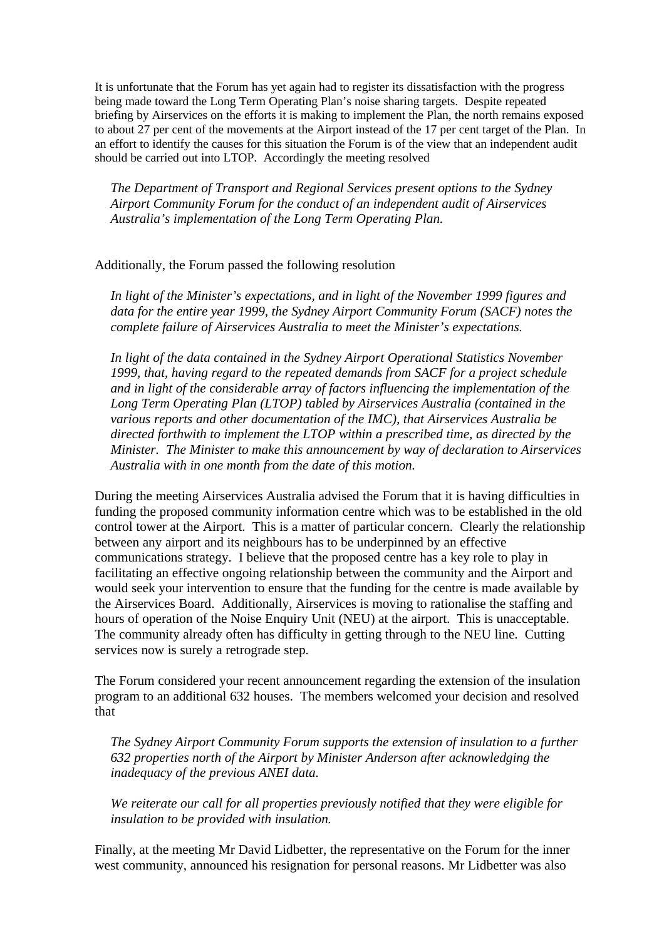It is unfortunate that the Forum has yet again had to register its dissatisfaction with the progress being made toward the Long Term Operating Plan's noise sharing targets. Despite repeated briefing by Airservices on the efforts it is making to implement the Plan, the north remains exposed to about 27 per cent of the movements at the Airport instead of the 17 per cent target of the Plan. In an effort to identify the causes for this situation the Forum is of the view that an independent audit should be carried out into LTOP. Accordingly the meeting resolved

*The Department of Transport and Regional Services present options to the Sydney Airport Community Forum for the conduct of an independent audit of Airservices Australia's implementation of the Long Term Operating Plan.*

## Additionally, the Forum passed the following resolution

*In light of the Minister's expectations, and in light of the November 1999 figures and data for the entire year 1999, the Sydney Airport Community Forum (SACF) notes the complete failure of Airservices Australia to meet the Minister's expectations.*

*In light of the data contained in the Sydney Airport Operational Statistics November 1999, that, having regard to the repeated demands from SACF for a project schedule and in light of the considerable array of factors influencing the implementation of the Long Term Operating Plan (LTOP) tabled by Airservices Australia (contained in the various reports and other documentation of the IMC), that Airservices Australia be directed forthwith to implement the LTOP within a prescribed time, as directed by the Minister. The Minister to make this announcement by way of declaration to Airservices Australia with in one month from the date of this motion.*

During the meeting Airservices Australia advised the Forum that it is having difficulties in funding the proposed community information centre which was to be established in the old control tower at the Airport. This is a matter of particular concern. Clearly the relationship between any airport and its neighbours has to be underpinned by an effective communications strategy. I believe that the proposed centre has a key role to play in facilitating an effective ongoing relationship between the community and the Airport and would seek your intervention to ensure that the funding for the centre is made available by the Airservices Board. Additionally, Airservices is moving to rationalise the staffing and hours of operation of the Noise Enquiry Unit (NEU) at the airport. This is unacceptable. The community already often has difficulty in getting through to the NEU line. Cutting services now is surely a retrograde step.

The Forum considered your recent announcement regarding the extension of the insulation program to an additional 632 houses. The members welcomed your decision and resolved that

*The Sydney Airport Community Forum supports the extension of insulation to a further 632 properties north of the Airport by Minister Anderson after acknowledging the inadequacy of the previous ANEI data.*

*We reiterate our call for all properties previously notified that they were eligible for insulation to be provided with insulation.*

Finally, at the meeting Mr David Lidbetter, the representative on the Forum for the inner west community, announced his resignation for personal reasons. Mr Lidbetter was also